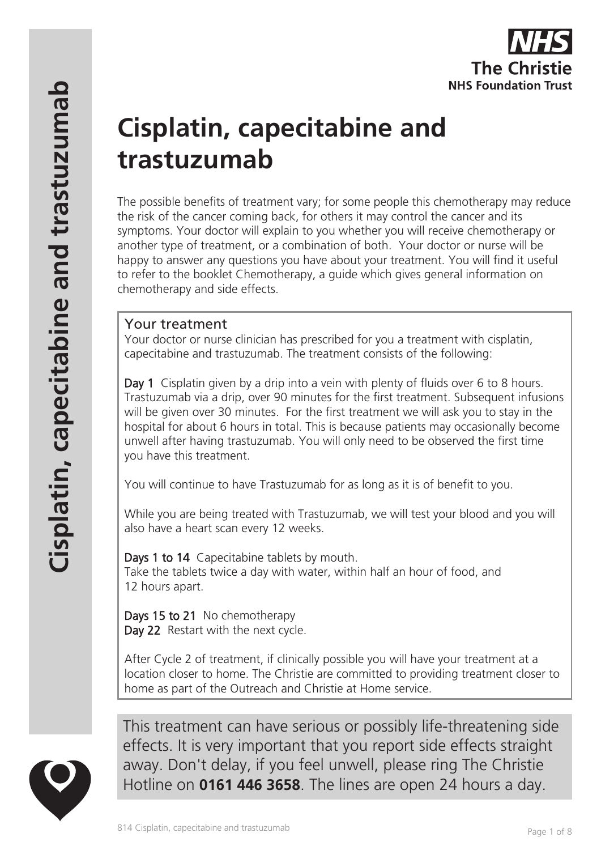# **Cisplatin, capecitabine and trastuzumab**

The possible benefits of treatment vary; for some people this chemotherapy may reduce the risk of the cancer coming back, for others it may control the cancer and its symptoms. Your doctor will explain to you whether you will receive chemotherapy or another type of treatment, or a combination of both. Your doctor or nurse will be happy to answer any questions you have about your treatment. You will find it useful to refer to the booklet Chemotherapy, a guide which gives general information on chemotherapy and side effects.

#### Your treatment

Your doctor or nurse clinician has prescribed for you a treatment with cisplatin, capecitabine and trastuzumab. The treatment consists of the following:

Day 1 Cisplatin given by a drip into a vein with plenty of fluids over 6 to 8 hours. Trastuzumab via a drip, over 90 minutes for the first treatment. Subsequent infusions will be given over 30 minutes. For the first treatment we will ask you to stay in the hospital for about 6 hours in total. This is because patients may occasionally become unwell after having trastuzumab. You will only need to be observed the first time you have this treatment.

You will continue to have Trastuzumab for as long as it is of benefit to you.

While you are being treated with Trastuzumab, we will test your blood and you will also have a heart scan every 12 weeks.

Days 1 to 14 Capecitabine tablets by mouth. Take the tablets twice a day with water, within half an hour of food, and 12 hours apart.

Days 15 to 21 No chemotherapy Day 22 Restart with the next cycle.

After Cycle 2 of treatment, if clinically possible you will have your treatment at a location closer to home. The Christie are committed to providing treatment closer to home as part of the Outreach and Christie at Home service.



This treatment can have serious or possibly life-threatening side effects. It is very important that you report side effects straight away. Don't delay, if you feel unwell, please ring The Christie Hotline on **0161 446 3658**. The lines are open 24 hours a day.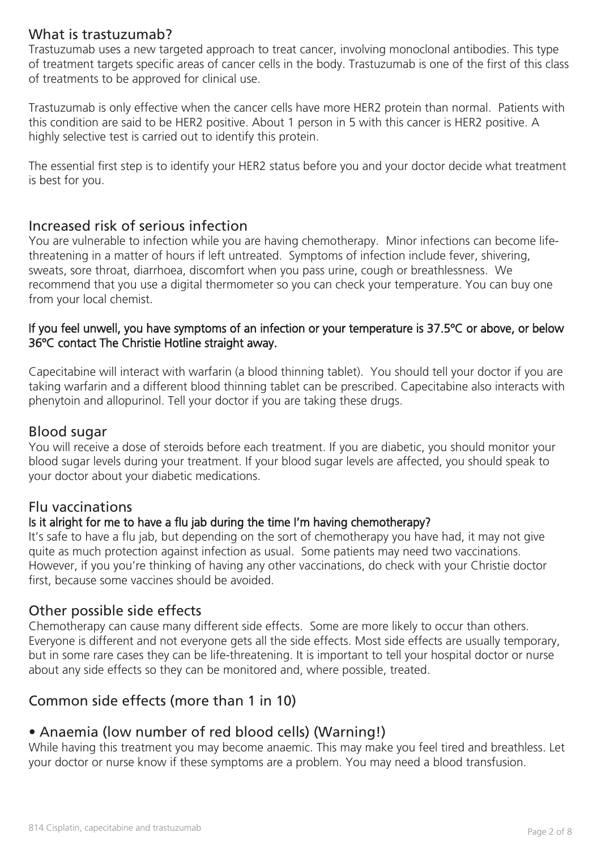## What is trastuzumab?

Trastuzumab uses a new targeted approach to treat cancer, involving monoclonal antibodies. This type of treatment targets specific areas of cancer cells in the body. Trastuzumab is one of the first of this class of treatments to be approved for clinical use.

Trastuzumab is only effective when the cancer cells have more HER2 protein than normal. Patients with this condition are said to be HER2 positive. About 1 person in 5 with this cancer is HER2 positive. A highly selective test is carried out to identify this protein.

The essential first step is to identify your HER2 status before you and your doctor decide what treatment is best for you.

#### Increased risk of serious infection

You are vulnerable to infection while you are having chemotherapy. Minor infections can become lifethreatening in a matter of hours if left untreated. Symptoms of infection include fever, shivering, sweats, sore throat, diarrhoea, discomfort when you pass urine, cough or breathlessness. We recommend that you use a digital thermometer so you can check your temperature. You can buy one from your local chemist.

#### If you feel unwell, you have symptoms of an infection or your temperature is 37.5ºC or above, or below 36ºC contact The Christie Hotline straight away.

Capecitabine will interact with warfarin (a blood thinning tablet). You should tell your doctor if you are taking warfarin and a different blood thinning tablet can be prescribed. Capecitabine also interacts with phenytoin and allopurinol. Tell your doctor if you are taking these drugs.

#### Blood sugar

You will receive a dose of steroids before each treatment. If you are diabetic, you should monitor your blood sugar levels during your treatment. If your blood sugar levels are affected, you should speak to your doctor about your diabetic medications.

#### Flu vaccinations

#### Is it alright for me to have a flu jab during the time I'm having chemotherapy?

It's safe to have a flu jab, but depending on the sort of chemotherapy you have had, it may not give quite as much protection against infection as usual. Some patients may need two vaccinations. However, if you you're thinking of having any other vaccinations, do check with your Christie doctor first, because some vaccines should be avoided.

#### Other possible side effects

Chemotherapy can cause many different side effects. Some are more likely to occur than others. Everyone is different and not everyone gets all the side effects. Most side effects are usually temporary, but in some rare cases they can be life-threatening. It is important to tell your hospital doctor or nurse about any side effects so they can be monitored and, where possible, treated.

#### Common side effects (more than 1 in 10)

# • Anaemia (low number of red blood cells) (Warning!)

While having this treatment you may become anaemic. This may make you feel tired and breathless. Let your doctor or nurse know if these symptoms are a problem. You may need a blood transfusion.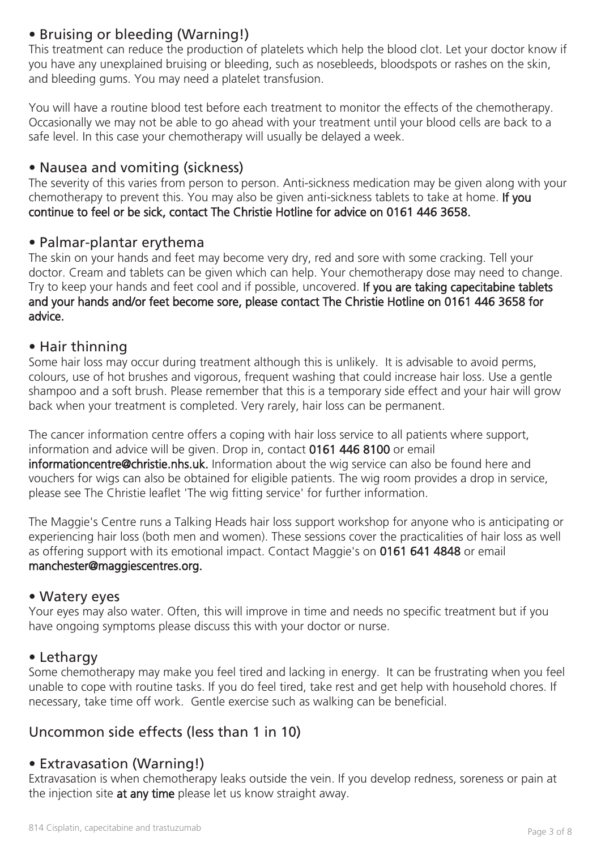# • Bruising or bleeding (Warning!)

This treatment can reduce the production of platelets which help the blood clot. Let your doctor know if you have any unexplained bruising or bleeding, such as nosebleeds, bloodspots or rashes on the skin, and bleeding gums. You may need a platelet transfusion.

You will have a routine blood test before each treatment to monitor the effects of the chemotherapy. Occasionally we may not be able to go ahead with your treatment until your blood cells are back to a safe level. In this case your chemotherapy will usually be delayed a week.

## • Nausea and vomiting (sickness)

The severity of this varies from person to person. Anti-sickness medication may be given along with your chemotherapy to prevent this. You may also be given anti-sickness tablets to take at home. If you continue to feel or be sick, contact The Christie Hotline for advice on 0161 446 3658.

#### • Palmar-plantar erythema

The skin on your hands and feet may become very dry, red and sore with some cracking. Tell your doctor. Cream and tablets can be given which can help. Your chemotherapy dose may need to change. Try to keep your hands and feet cool and if possible, uncovered. If you are taking capecitabine tablets and your hands and/or feet become sore, please contact The Christie Hotline on 0161 446 3658 for advice.

#### • Hair thinning

Some hair loss may occur during treatment although this is unlikely. It is advisable to avoid perms, colours, use of hot brushes and vigorous, frequent washing that could increase hair loss. Use a gentle shampoo and a soft brush. Please remember that this is a temporary side effect and your hair will grow back when your treatment is completed. Very rarely, hair loss can be permanent.

The cancer information centre offers a coping with hair loss service to all patients where support, information and advice will be given. Drop in, contact 0161 446 8100 or email informationcentre@christie.nhs.uk. Information about the wig service can also be found here and vouchers for wigs can also be obtained for eligible patients. The wig room provides a drop in service, please see The Christie leaflet 'The wig fitting service' for further information.

The Maggie's Centre runs a Talking Heads hair loss support workshop for anyone who is anticipating or experiencing hair loss (both men and women). These sessions cover the practicalities of hair loss as well as offering support with its emotional impact. Contact Maggie's on 0161 641 4848 or email manchester@maggiescentres.org.

#### • Watery eyes

Your eyes may also water. Often, this will improve in time and needs no specific treatment but if you have ongoing symptoms please discuss this with your doctor or nurse.

#### • Lethargy

Some chemotherapy may make you feel tired and lacking in energy. It can be frustrating when you feel unable to cope with routine tasks. If you do feel tired, take rest and get help with household chores. If necessary, take time off work. Gentle exercise such as walking can be beneficial.

## Uncommon side effects (less than 1 in 10)

#### • Extravasation (Warning!)

Extravasation is when chemotherapy leaks outside the vein. If you develop redness, soreness or pain at the injection site at any time please let us know straight away.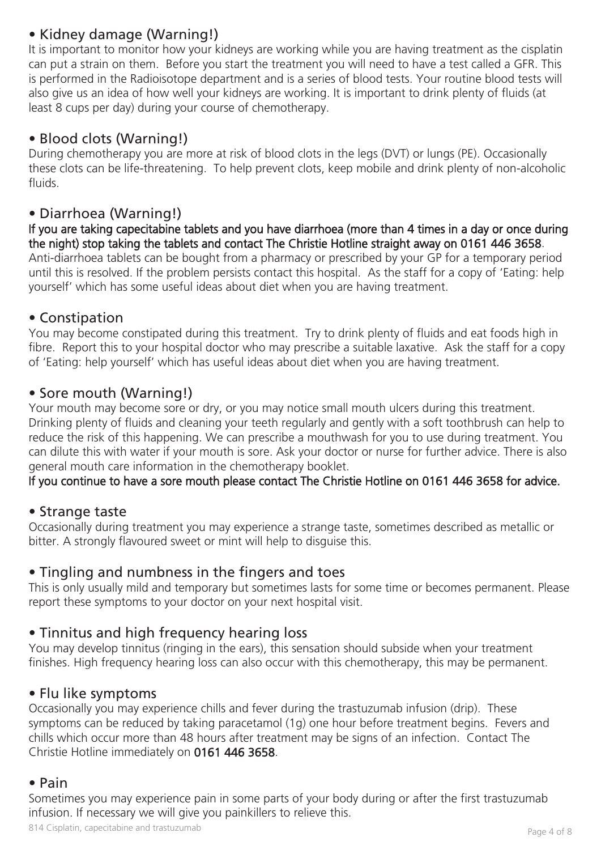# • Kidney damage (Warning!)

It is important to monitor how your kidneys are working while you are having treatment as the cisplatin can put a strain on them. Before you start the treatment you will need to have a test called a GFR. This is performed in the Radioisotope department and is a series of blood tests. Your routine blood tests will also give us an idea of how well your kidneys are working. It is important to drink plenty of fluids (at least 8 cups per day) during your course of chemotherapy.

## • Blood clots (Warning!)

During chemotherapy you are more at risk of blood clots in the legs (DVT) or lungs (PE). Occasionally these clots can be life-threatening. To help prevent clots, keep mobile and drink plenty of non-alcoholic fluids.

### • Diarrhoea (Warning!)

If you are taking capecitabine tablets and you have diarrhoea (more than 4 times in a day or once during the night) stop taking the tablets and contact The Christie Hotline straight away on 0161 446 3658. Anti-diarrhoea tablets can be bought from a pharmacy or prescribed by your GP for a temporary period until this is resolved. If the problem persists contact this hospital. As the staff for a copy of 'Eating: help yourself' which has some useful ideas about diet when you are having treatment.

## • Constipation

You may become constipated during this treatment. Try to drink plenty of fluids and eat foods high in fibre. Report this to your hospital doctor who may prescribe a suitable laxative. Ask the staff for a copy of 'Eating: help yourself' which has useful ideas about diet when you are having treatment.

## • Sore mouth (Warning!)

Your mouth may become sore or dry, or you may notice small mouth ulcers during this treatment. Drinking plenty of fluids and cleaning your teeth regularly and gently with a soft toothbrush can help to reduce the risk of this happening. We can prescribe a mouthwash for you to use during treatment. You can dilute this with water if your mouth is sore. Ask your doctor or nurse for further advice. There is also general mouth care information in the chemotherapy booklet.

If you continue to have a sore mouth please contact The Christie Hotline on 0161 446 3658 for advice.

## • Strange taste

Occasionally during treatment you may experience a strange taste, sometimes described as metallic or bitter. A strongly flavoured sweet or mint will help to disguise this.

## • Tingling and numbness in the fingers and toes

This is only usually mild and temporary but sometimes lasts for some time or becomes permanent. Please report these symptoms to your doctor on your next hospital visit.

## • Tinnitus and high frequency hearing loss

You may develop tinnitus (ringing in the ears), this sensation should subside when your treatment finishes. High frequency hearing loss can also occur with this chemotherapy, this may be permanent.

#### • Flu like symptoms

Occasionally you may experience chills and fever during the trastuzumab infusion (drip). These symptoms can be reduced by taking paracetamol (1g) one hour before treatment begins. Fevers and chills which occur more than 48 hours after treatment may be signs of an infection. Contact The Christie Hotline immediately on 0161 446 3658.

#### • Pain

Sometimes you may experience pain in some parts of your body during or after the first trastuzumab infusion. If necessary we will give you painkillers to relieve this.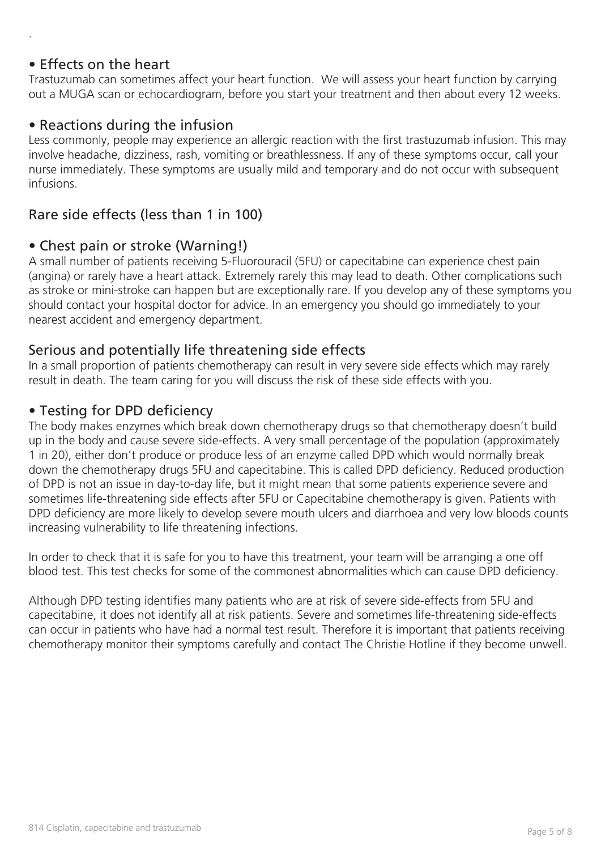#### • Effects on the heart

.

Trastuzumab can sometimes affect your heart function. We will assess your heart function by carrying out a MUGA scan or echocardiogram, before you start your treatment and then about every 12 weeks.

#### • Reactions during the infusion

Less commonly, people may experience an allergic reaction with the first trastuzumab infusion. This may involve headache, dizziness, rash, vomiting or breathlessness. If any of these symptoms occur, call your nurse immediately. These symptoms are usually mild and temporary and do not occur with subsequent infusions.

### Rare side effects (less than 1 in 100)

#### • Chest pain or stroke (Warning!)

A small number of patients receiving 5-Fluorouracil (5FU) or capecitabine can experience chest pain (angina) or rarely have a heart attack. Extremely rarely this may lead to death. Other complications such as stroke or mini-stroke can happen but are exceptionally rare. If you develop any of these symptoms you should contact your hospital doctor for advice. In an emergency you should go immediately to your nearest accident and emergency department.

#### Serious and potentially life threatening side effects

In a small proportion of patients chemotherapy can result in very severe side effects which may rarely result in death. The team caring for you will discuss the risk of these side effects with you.

#### • Testing for DPD deficiency

The body makes enzymes which break down chemotherapy drugs so that chemotherapy doesn't build up in the body and cause severe side-effects. A very small percentage of the population (approximately 1 in 20), either don't produce or produce less of an enzyme called DPD which would normally break down the chemotherapy drugs 5FU and capecitabine. This is called DPD deficiency. Reduced production of DPD is not an issue in day-to-day life, but it might mean that some patients experience severe and sometimes life-threatening side effects after 5FU or Capecitabine chemotherapy is given. Patients with DPD deficiency are more likely to develop severe mouth ulcers and diarrhoea and very low bloods counts increasing vulnerability to life threatening infections.

In order to check that it is safe for you to have this treatment, your team will be arranging a one off blood test. This test checks for some of the commonest abnormalities which can cause DPD deficiency.

Although DPD testing identifies many patients who are at risk of severe side-effects from 5FU and capecitabine, it does not identify all at risk patients. Severe and sometimes life-threatening side-effects can occur in patients who have had a normal test result. Therefore it is important that patients receiving chemotherapy monitor their symptoms carefully and contact The Christie Hotline if they become unwell.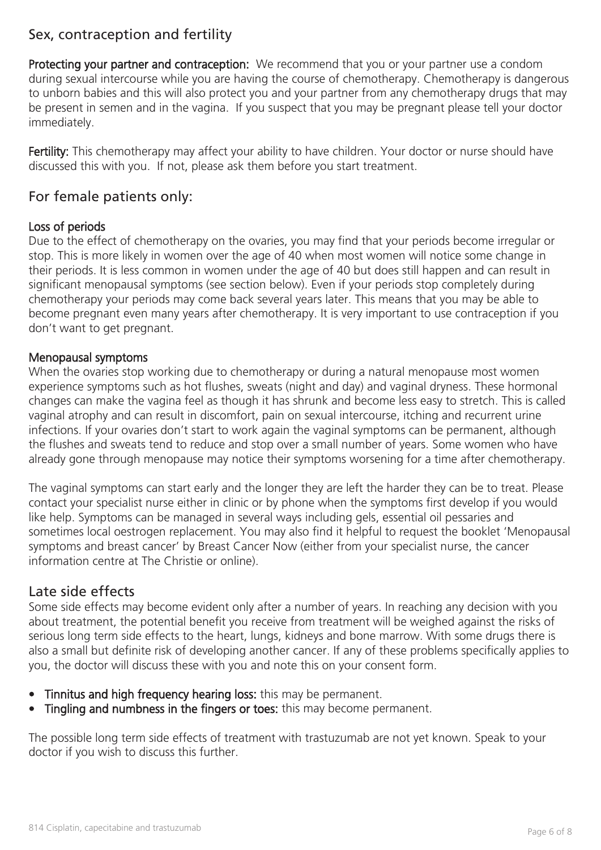# Sex, contraception and fertility

Protecting your partner and contraception: We recommend that you or your partner use a condom during sexual intercourse while you are having the course of chemotherapy. Chemotherapy is dangerous to unborn babies and this will also protect you and your partner from any chemotherapy drugs that may be present in semen and in the vagina. If you suspect that you may be pregnant please tell your doctor immediately.

Fertility: This chemotherapy may affect your ability to have children. Your doctor or nurse should have discussed this with you. If not, please ask them before you start treatment.

## For female patients only:

#### Loss of periods

Due to the effect of chemotherapy on the ovaries, you may find that your periods become irregular or stop. This is more likely in women over the age of 40 when most women will notice some change in their periods. It is less common in women under the age of 40 but does still happen and can result in significant menopausal symptoms (see section below). Even if your periods stop completely during chemotherapy your periods may come back several years later. This means that you may be able to become pregnant even many years after chemotherapy. It is very important to use contraception if you don't want to get pregnant.

#### Menopausal symptoms

When the ovaries stop working due to chemotherapy or during a natural menopause most women experience symptoms such as hot flushes, sweats (night and day) and vaginal dryness. These hormonal changes can make the vagina feel as though it has shrunk and become less easy to stretch. This is called vaginal atrophy and can result in discomfort, pain on sexual intercourse, itching and recurrent urine infections. If your ovaries don't start to work again the vaginal symptoms can be permanent, although the flushes and sweats tend to reduce and stop over a small number of years. Some women who have already gone through menopause may notice their symptoms worsening for a time after chemotherapy.

The vaginal symptoms can start early and the longer they are left the harder they can be to treat. Please contact your specialist nurse either in clinic or by phone when the symptoms first develop if you would like help. Symptoms can be managed in several ways including gels, essential oil pessaries and sometimes local oestrogen replacement. You may also find it helpful to request the booklet 'Menopausal symptoms and breast cancer' by Breast Cancer Now (either from your specialist nurse, the cancer information centre at The Christie or online).

#### Late side effects

Some side effects may become evident only after a number of years. In reaching any decision with you about treatment, the potential benefit you receive from treatment will be weighed against the risks of serious long term side effects to the heart, lungs, kidneys and bone marrow. With some drugs there is also a small but definite risk of developing another cancer. If any of these problems specifically applies to you, the doctor will discuss these with you and note this on your consent form.

- Tinnitus and high frequency hearing loss: this may be permanent.
- Tingling and numbness in the fingers or toes: this may become permanent.

The possible long term side effects of treatment with trastuzumab are not yet known. Speak to your doctor if you wish to discuss this further.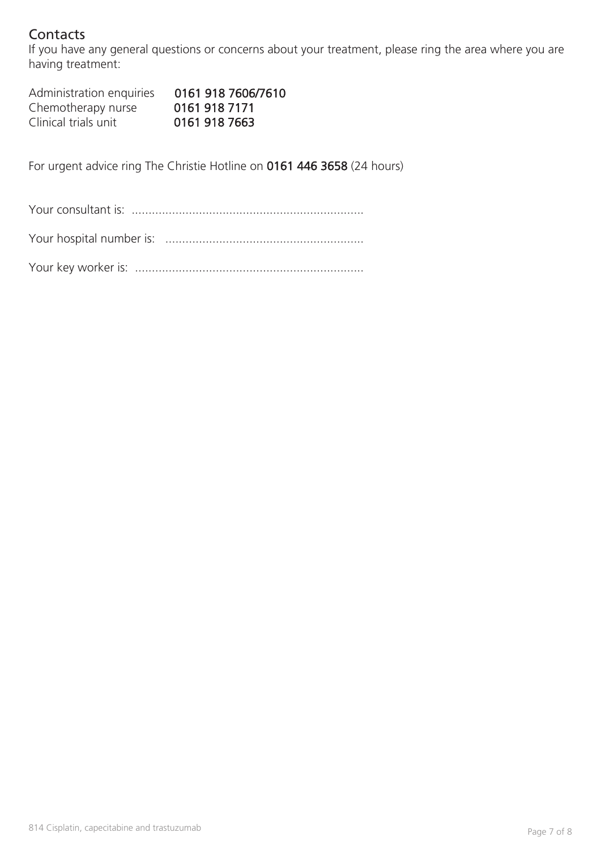# **Contacts**

If you have any general questions or concerns about your treatment, please ring the area where you are having treatment:

| Administration enquiries | 0161 918 7606/7610 |
|--------------------------|--------------------|
| Chemotherapy nurse       | 0161 918 7171      |
| Clinical trials unit     | 0161 918 7663      |

For urgent advice ring The Christie Hotline on 0161 446 3658 (24 hours)

Your consultant is: .....................................................................

Your hospital number is: ...........................................................

Your key worker is: ....................................................................